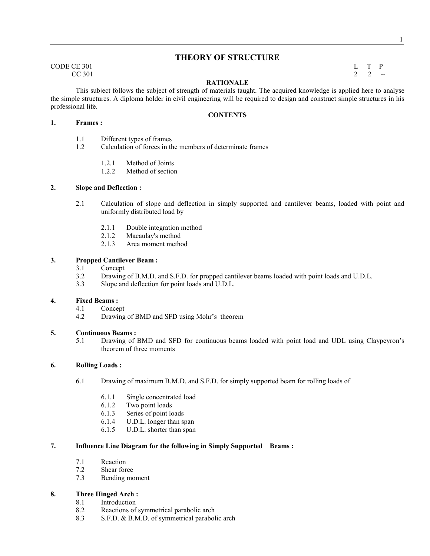## **THEORY OF STRUCTURE**

CODE CE 301 L T P  $CC 301$  2 2 --

This subject follows the subject of strength of materials taught. The acquired knowledge is applied here to analyse the simple structures. A diploma holder in civil engineering will be required to design and construct simple structures in his professional life.

- **1. Frames :** 
	- 1.1 Different types of frames
	- 1.2 Calculation of forces in the members of determinate frames
		- 1.2.1 Method of Joints
		- 1.2.2 Method of section

#### **2. Slope and Deflection :**

- 2.1 Calculation of slope and deflection in simply supported and cantilever beams, loaded with point and uniformly distributed load by
	- 2.1.1 Double integration method<br>2.1.2 Macaulav's method
	- 2.1.2 Macaulay's method<br>2.1.3 Area moment method
	- Area moment method

## **3. Propped Cantilever Beam :**

- 3.1 Concept
- 3.2 Drawing of B.M.D. and S.F.D. for propped cantilever beams loaded with point loads and U.D.L.
- 3.3 Slope and deflection for point loads and U.D.L.

## **4. Fixed Beams :**

- Concept
- 4.2 Drawing of BMD and SFD using Mohr's theorem

#### **5. Continuous Beams :**

5.1 Drawing of BMD and SFD for continuous beams loaded with point load and UDL using Claypeyron's theorem of three moments

#### **6. Rolling Loads :**

- 6.1 Drawing of maximum B.M.D. and S.F.D. for simply supported beam for rolling loads of
	- 6.1.1 Single concentrated load<br>6.1.2 Two point loads
	- Two point loads
	- 6.1.3 Series of point loads
	- 6.1.4 U.D.L. longer than span
	- 6.1.5 U.D.L. shorter than span

#### **7. Influence Line Diagram for the following in Simply Supported Beams :**

- 7.1 Reaction
- 7.2 Shear force
- 7.3 Bending moment

## **8. Three Hinged Arch :**

- 8.1 Introduction
- 8.2 Reactions of symmetrical parabolic arch
- 8.3 S.F.D. & B.M.D. of symmetrical parabolic arch

## **RATIONALE**

**CONTENTS**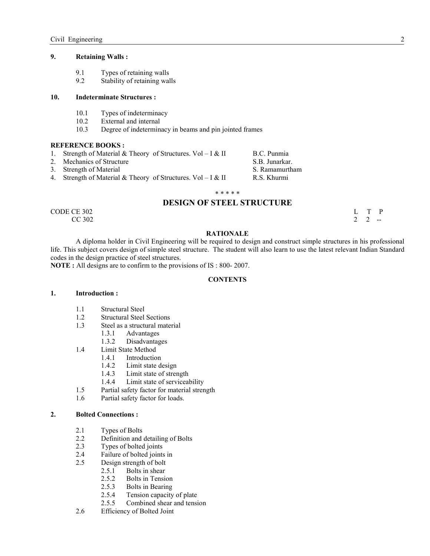## **9. Retaining Walls :**

- 9.1 Types of retaining walls<br>9.2 Stability of retaining walls
- Stability of retaining walls

#### **10. Indeterminate Structures :**

- 10.1 Types of indeterminacy
- 10.2 External and internal
- 10.3 Degree of indeterminacy in beams and pin jointed frames

#### **REFERENCE BOOKS:**

- 1. Strength of Material & Theory of Structures. Vol I & II B.C. Punmia
- 2. Mechanics of Structure S.B. Junarkar.
- 3. Strength of Material S. Ramamurtham
- 4. Strength of Material & Theory of Structures. Vol I & II R.S. Khurmi

#### \* \* \* \* \*

## **DESIGN OF STEEL STRUCTURE**

CODE CE 302 L T P  $CC 302$  2 2  $-$ 

#### **RATIONALE**

 A diploma holder in Civil Engineering will be required to design and construct simple structures in his professional life. This subject covers design of simple steel structure. The student will also learn to use the latest relevant Indian Standard codes in the design practice of steel structures.

**OTE :** All designs are to confirm to the provisions of IS : 800- 2007.

#### **CONTENTS**

#### **1. Introduction :**

- 1.1 Structural Steel
- 1.2 Structural Steel Sections<br>1.3 Steel as a structural mate
- Steel as a structural material
	- 1.3.1 Advantages
	-
- 1.3.2 Disadvantages<br>1.4 Limit State Method Limit State Method
	- 1.4.1 Introduction
		-
		- 1.4.2 Limit state design<br>1.4.3 Limit state of strer Limit state of strength
		- 1.4.4 Limit state of serviceability
	-
- 1.5 Partial safety factor for material strength<br>1.6 Partial safety factor for loads. Partial safety factor for loads.

#### **2. Bolted Connections :**

- 2.1 Types of Bolts
- 2.2 Definition and detailing of Bolts<br>2.3 Types of bolted ioints
- Types of bolted joints
- 2.4 Failure of bolted joints in
- 2.5 Design strength of bolt
	- 2.5.1 Bolts in shear
		- 2.5.2 Bolts in Tension
		- 2.5.3 Bolts in Bearing
		- 2.5.4 Tension capacity of plate
	- 2.5.5 Combined shear and tension
- 2.6 Efficiency of Bolted Joint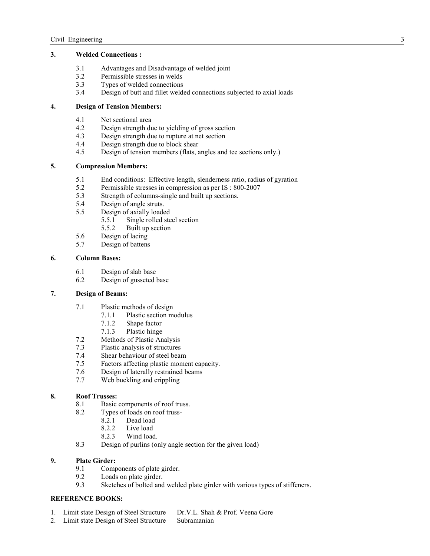## **3. Welded Connections :**

- 3.1 Advantages and Disadvantage of welded joint
- 3.2 Permissible stresses in welds
- 3.3 Types of welded connections
- 3.4 Design of butt and fillet welded connections subjected to axial loads

## **4. Design of Tension Members:**

- 4.1 Net sectional area
- 4.2 Design strength due to yielding of gross section
- 4.3 Design strength due to rupture at net section<br>4.4 Design strength due to block shear
- 4.4 Design strength due to block shear<br>4.5 Design of tension members (flats. a
- Design of tension members (flats, angles and tee sections only.)

## **5. Compression Members:**

- 5.1 End conditions: Effective length, slenderness ratio, radius of gyration
- 5.2 Permissible stresses in compression as per IS: 800-2007<br>5.3 Strength of columns-single and built up sections.
- Strength of columns-single and built up sections.
- 5.4 Design of angle struts.
- 5.5 Design of axially loaded<br>5.5.1 Single rolled ste
	- Single rolled steel section
	- 5.5.2 Built up section
- 5.6 Design of lacing<br>5.7 Design of battens
- Design of battens

## **6. Column Bases:**

- 6.1 Design of slab base
- 6.2 Design of gusseted base

## **7. Design of Beams:**

- 7.1 Plastic methods of design
	- 7.1.1 Plastic section modulus
	- 7.1.2 Shape factor
	-
- 7.1.3 Plastic hinge<br>7.2 Methods of Plastic An 7.2 Methods of Plastic Analysis<br>7.3 Plastic analysis of structures
- 7.3 Plastic analysis of structures<br>7.4 Shear behaviour of steel bear
- Shear behaviour of steel beam
- 7.5 Factors affecting plastic moment capacity.
- 7.6 Design of laterally restrained beams
- 7.7 Web buckling and crippling

## **8. Roof Trusses:**

- 8.1 Basic components of roof truss.
- 8.2 Types of loads on roof truss-
	- 8.2.1 Dead load
	- 8.2.2 Live load<br>8.2.3 Wind load
	- Wind load.
- 8.3 Design of purlins (only angle section for the given load)

## **9. Plate Girder:**

- 9.1 Components of plate girder.
- 9.2 Loads on plate girder.<br>9.3 Sketches of bolted and
- Sketches of bolted and welded plate girder with various types of stiffeners.

## **REFERENCE BOOKS:**

- 1. Limit state Design of Steel Structure Dr.V.L. Shah & Prof. Veena Gore
- 2. Limit state Design of Steel Structure Subramanian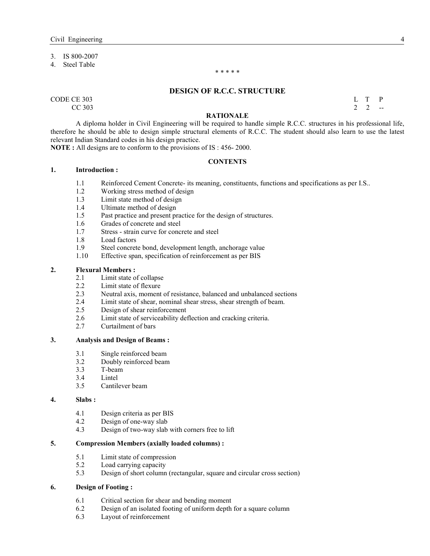## 3. IS 800-2007

4. Steel Table

#### \* \* \* \* \*

#### **DESIGN OF R.C.C. STRUCTURE**

 $\begin{array}{cccc}\n\text{CODE CE } 303 \\
\text{CC } 303\n\end{array}$  $CC\,303$  2 2  $-$ 

### **RATIONALE**

A diploma holder in Civil Engineering will be required to handle simple R.C.C. structures in his professional life, therefore he should be able to design simple structural elements of R.C.C. The student should also learn to use the latest relevant Indian Standard codes in his design practice.

**OTE :** All designs are to conform to the provisions of IS : 456- 2000.

## **CONTENTS**

- **1. Introduction :** 
	- 1.1 Reinforced Cement Concrete- its meaning, constituents, functions and specifications as per I.S..
	- 1.2 Working stress method of design
	- 1.3 Limit state method of design
	- 1.4 Ultimate method of design
	- 1.5 Past practice and present practice for the design of structures.
	- 1.6 Grades of concrete and steel
	- 1.7 Stress strain curve for concrete and steel
	- 1.8 Load factors
	- 1.9 Steel concrete bond, development length, anchorage value
	- 1.10 Effective span, specification of reinforcement as per BIS

## **2. Flexural Members :**

- 2.1 Limit state of collapse<br>2.2 Limit state of flexure
- Limit state of flexure
- 2.3 Neutral axis, moment of resistance, balanced and unbalanced sections
- 2.4 Limit state of shear, nominal shear stress, shear strength of beam.<br>2.5 Design of shear reinforcement
- Design of shear reinforcement
- 2.6 Limit state of serviceability deflection and cracking criteria.
- 2.7 Curtailment of bars

#### **3. Analysis and Design of Beams :**

- 3.1 Single reinforced beam
- 3.2 Doubly reinforced beam
- 3.3 T-beam
- 3.4 Lintel<br>3.5 Cantile
- Cantilever beam

#### **4. Slabs :**

- 4.1 Design criteria as per BIS
- 4.2 Design of one-way slab
- 4.3 Design of two-way slab with corners free to lift

#### **5. Compression Members (axially loaded columns) :**

- 5.1 Limit state of compression
- 5.2 Load carrying capacity
- 5.3 Design of short column (rectangular, square and circular cross section)

#### **6. Design of Footing :**

- 6.1 Critical section for shear and bending moment 6.2 Design of an isolated footing of uniform denth
- Design of an isolated footing of uniform depth for a square column
- 6.3 Layout of reinforcement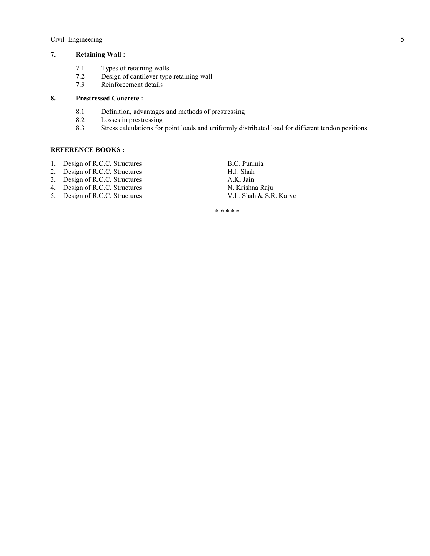## **7. Retaining Wall :**

- 7.1 Types of retaining walls<br>7.2 Design of cantilever type
- 7.2 Design of cantilever type retaining wall<br>7.3 Reinforcement details
- Reinforcement details

### **8. Prestressed Concrete :**

- 8.1 Definition, advantages and methods of prestressing<br>8.2 Losses in prestressing
- Losses in prestressing
- 8.3 Stress calculations for point loads and uniformly distributed load for different tendon positions

#### **REFERENCE BOOKS :**

- 1. Design of R.C.C. Structures B.C. Punmia<br>
2. Design of R.C.C. Structures H.J. Shah
- 2. Design of R.C.C. Structures
- 3. Design of R.C.C. Structures A.K. Jain
- 
- 5. Design of R.C.C. Structures

4. Design of R.C.C. Structures N. Krishna Raju<br>
5. Design of R.C.C. Structures V.L. Shah & S.R. Karve

\* \* \* \* \*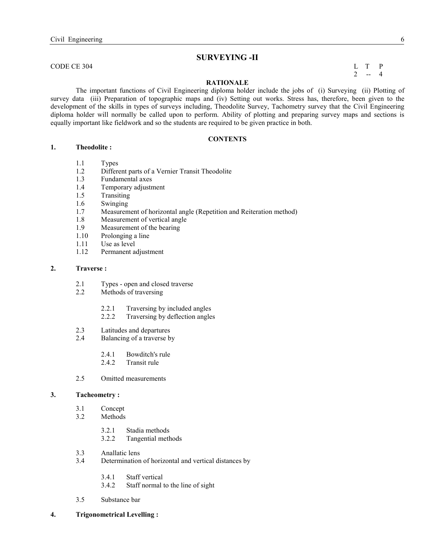## **SURVEYIG -II**

CODE CE 304 L T P

 $2 - 4$ 

## **RATIONALE**

 The important functions of Civil Engineering diploma holder include the jobs of (i) Surveying (ii) Plotting of survey data (iii) Preparation of topographic maps and (iv) Setting out works. Stress has, therefore, been given to the development of the skills in types of surveys including, Theodolite Survey, Tachometry survey that the Civil Engineering diploma holder will normally be called upon to perform. Ability of plotting and preparing survey maps and sections is equally important like fieldwork and so the students are required to be given practice in both.

### **CONTENTS**

## **1. Theodolite :**

- 1.1 Types
- 1.2 Different parts of a Vernier Transit Theodolite
- 1.3 Fundamental axes
- 1.4 Temporary adjustment
- 1.5 Transiting
- 1.6 Swinging
- 1.7 Measurement of horizontal angle (Repetition and Reiteration method)<br>1.8 Measurement of vertical angle
- Measurement of vertical angle
- 1.9 Measurement of the bearing<br>1.10 Prolonging a line
- Prolonging a line
- 1.11 Use as level
- 1.12 Permanent adjustment

#### **2. Traverse :**

- 2.1 Types open and closed traverse
- 2.2 Methods of traversing
	- 2.2.1 Traversing by included angles
	- 2.2.2 Traversing by deflection angles
- 2.3 Latitudes and departures
- 2.4 Balancing of a traverse by
	- 2.4.1 Bowditch's rule
	- 2.4.2 Transit rule
- 2.5 Omitted measurements

### **3. Tacheometry :**

- 3.1 Concept
- 3.2 Methods
	- 3.2.1 Stadia methods
	- 3.2.2 Tangential methods
- 3.3 Anallatic lens
- 3.4 Determination of horizontal and vertical distances by
	- 3.4.1 Staff vertical
	- 3.4.2 Staff normal to the line of sight
- 3.5 Substance bar
- **4. Trigonometrical Levelling :**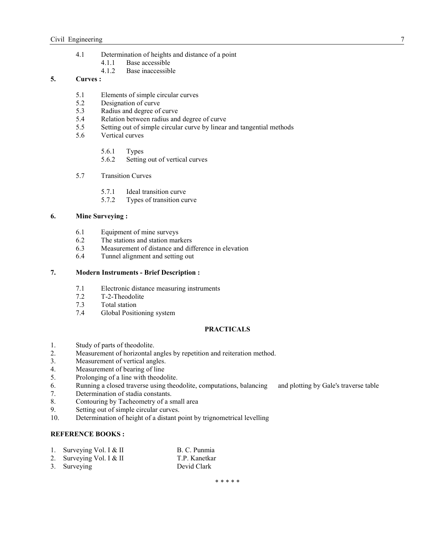- 4.1 Determination of heights and distance of a point<br>4.1.1 Base accessible
	- Base accessible
	- 4.1.2 Base inaccessible

## **5. Curves :**

- 5.1 Elements of simple circular curves
- 5.2 Designation of curve<br>5.3 Radius and degree of
- Radius and degree of curve
- 5.4 Relation between radius and degree of curve<br>5.5 Setting out of simple circular curve by linear
- Setting out of simple circular curve by linear and tangential methods
- 5.6 Vertical curves
	- 5.6.1 Types
	- 5.6.2 Setting out of vertical curves
- 5.7 Transition Curves
	- 5.7.1 Ideal transition curve
	- 5.7.2 Types of transition curve

## **6. Mine Surveying :**

- 6.1 Equipment of mine surveys<br>6.2 The stations and station man
- The stations and station markers
- 6.3 Measurement of distance and difference in elevation<br>6.4 Tunnel alignment and setting out
- Tunnel alignment and setting out

#### **7. Modern Instruments - Brief Description :**

- 7.1 Electronic distance measuring instruments
- 7.2 T-2-Theodolite<br>7.3 Total station
- Total station
- 7.4 Global Positioning system

#### **PRACTICALS**

- 1. Study of parts of theodolite.<br>2. Measurement of horizontal a
- Measurement of horizontal angles by repetition and reiteration method.
- 3. Measurement of vertical angles.
- 4. Measurement of bearing of line<br>5. Prolonging of a line with theodo
- Prolonging of a line with theodolite.
- 6. Running a closed traverse using theodolite, computations, balancing and plotting by Gale's traverse table
- 7. Determination of stadia constants.
- 8. Contouring by Tacheometry of a small area
- 9. Setting out of simple circular curves.
- 10. Determination of height of a distant point by trignometrical levelling

## **REFERENCE BOOKS:**

- 1. Surveying Vol. I & II B. C. Punmia
- 2. Surveying Vol. I & II T.P. Kanetkar
- 3. Surveying Devid Clark

\* \* \* \* \*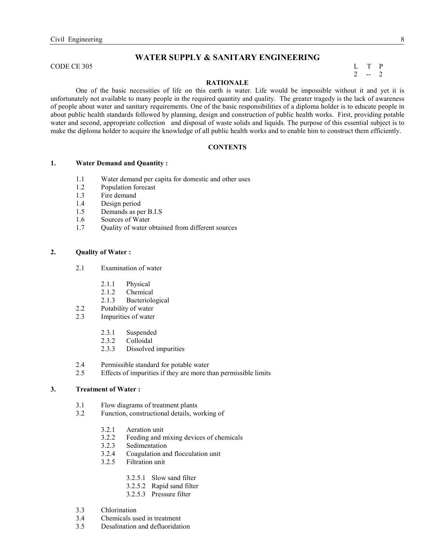## **WATER SUPPLY & SANITARY ENGINEERING**

CODE CE 305 L T P

# $2 - 2$

## **RATIONALE**

 One of the basic necessities of life on this earth is water. Life would be impossible without it and yet it is unfortunately not available to many people in the required quantity and quality. The greater tragedy is the lack of awareness of people about water and sanitary requirements. One of the basic responsibilities of a diploma holder is to educate people in about public health standards followed by planning, design and construction of public health works. First, providing potable water and second, appropriate collection and disposal of waste solids and liquids. The purpose of this essential subject is to make the diploma holder to acquire the knowledge of all public health works and to enable him to construct them efficiently.

#### **CONTENTS**

#### **1. Water Demand and Quantity :**

- 1.1 Water demand per capita for domestic and other uses
- 1.2 Population forecast
- 1.3 Fire demand
- 1.4 Design period
- 1.5 Demands as per B.I.S
- 1.6 Sources of Water
- 1.7 Quality of water obtained from different sources

## **2. Quality of Water :**

- 2.1 Examination of water
	- 2.1.1 Physical
	- 2.1.2 Chemical
	- 2.1.3 Bacteriological
- 2.2 Potability of water
- 2.3 Impurities of water
	- 2.3.1 Suspended
	- 2.3.2 Colloidal
	- 2.3.3 Dissolved impurities
- 2.4 Permissible standard for potable water
- 2.5 Effects of impurities if they are more than permissible limits

## **3. Treatment of Water :**

- 3.1 Flow diagrams of treatment plants
- 3.2 Function, constructional details, working of
	- 3.2.1 Aeration unit
	- 3.2.2 Feeding and mixing devices of chemicals
	- 3.2.3 Sedimentation
	- 3.2.4 Coagulation and flocculation unit
	- 3.2.5 Filtration unit
		- 3.2.5.1 Slow sand filter
		- 3.2.5.2 Rapid sand filter
		- 3.2.5.3 Pressure filter
- 3.3 Chlorination
- 3.4 Chemicals used in treatment
- 3.5 Desalination and defluoridation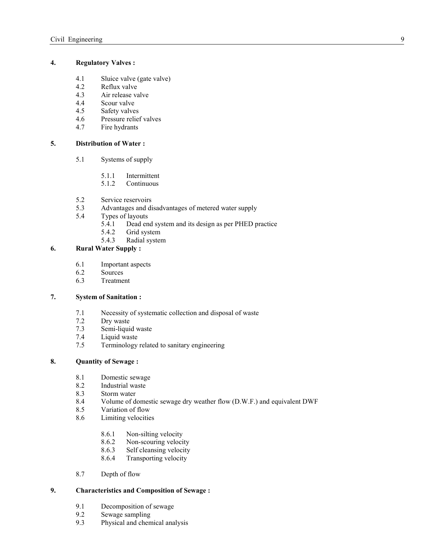## **4. Regulatory Valves :**

- 4.1 Sluice valve (gate valve)<br>4.2 Reflux valve
- Reflux valve
- 4.3 Air release valve
- 4.4 Scour valve
- 4.5 Safety valves
- 4.6 Pressure relief valves
- 4.7 Fire hydrants

## **5. Distribution of Water :**

- 5.1 Systems of supply
	- 5.1.1 Intermittent
	- 5.1.2 Continuous
- 5.2 Service reservoirs<br>5.3 Advantages and di
- 5.3 Advantages and disadvantages of metered water supply<br>5.4 Types of layouts
- Types of layouts
	- 5.4.1 Dead end system and its design as per PHED practice<br>5.4.2 Grid system
	- 5.4.2 Grid system<br>5.4.3 Radial system
	- Radial system

## **6. Rural Water Supply :**

- 6.1 Important aspects
- 6.2 Sources<br>6.3 Treatme
- 6.3 Treatment

## **7. System of Sanitation :**

- 7.1 Necessity of systematic collection and disposal of waste
- 7.2 Dry waste<br>7.3 Semi-liqui
- 7.3 Semi-liquid waste
- Liquid waste
- 7.5 Terminology related to sanitary engineering

## **8. Quantity of Sewage :**

- 8.1 Domestic sewage
- 8.2 Industrial waste
- 8.3 Storm water<br>8.4 Volume of d
- 8.4 Volume of domestic sewage dry weather flow (D.W.F.) and equivalent DWF
- 8.5 Variation of flow
- 8.6 Limiting velocities
	- 8.6.1 Non-silting velocity
	- 8.6.2 Non-scouring velocity
	- 8.6.3 Self cleansing velocity
	- 8.6.4 Transporting velocity
- 8.7 Depth of flow

## **9. Characteristics and Composition of Sewage :**

- 9.1 Decomposition of sewage<br>9.2 Sewage sampling
- 9.2 Sewage sampling<br>9.3 Physical and chen
- Physical and chemical analysis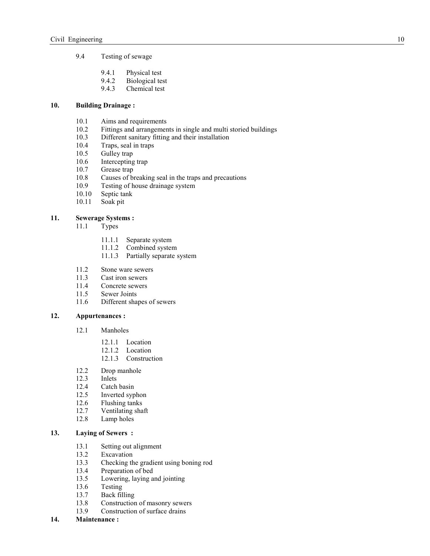- 9.4 Testing of sewage
	- 9.4.1 Physical test
	- 9.4.2 Biological test<br>9.4.3 Chemical test
	- Chemical test

## **10. Building Drainage :**

- 10.1 Aims and requirements
- 10.2 Fittings and arrangements in single and multi storied buildings<br>10.3 Different sanitary fitting and their installation
- 10.3 Different sanitary fitting and their installation<br>10.4 Traps, seal in traps
- Traps, seal in traps
- 10.5 Gulley trap
- 10.6 Intercepting trap<br>10.7 Grease trap
- Grease trap
- 10.8 Causes of breaking seal in the traps and precautions<br>10.9 Testing of house drainage system
- 10.9 Testing of house drainage system<br>10.10 Septic tank
- Septic tank
- 10.11 Soak pit

## **11. Sewerage Systems :**

- 11.1 Types
	- 11.1.1 Separate system
	- 11.1.2 Combined system
	- 11.1.3 Partially separate system
- 11.2 Stone ware sewers<br>11.3 Cast iron sewers
- 11.3 Cast iron sewers<br>11.4 Concrete sewers
- Concrete sewers
- 11.5 Sewer Joints
- 11.6 Different shapes of sewers

## **12. Appurtenances :**

- 12.1 Manholes
	- 12.1.1 Location
	- 12.1.2 Location
	- 12.1.3 Construction
- 12.2 Drop manhole<br>12.3 Inlets
- Inlets
- 12.4 Catch basin<br>12.5 Inverted syp
- Inverted syphon
- 12.6 Flushing tanks<br>12.7 Ventilating sha
- Ventilating shaft
- 12.8 Lamp holes

## **13. Laying of Sewers :**

- 13.1 Setting out alignment
- 13.2 Excavation
- 13.3 Checking the gradient using boning rod<br>13.4 Preparation of bed
- Preparation of bed
- 13.5 Lowering, laying and jointing
- 13.6 Testing
- 13.7 Back filling
- 13.8 Construction of masonry sewers
- 13.9 Construction of surface drains
- **14. Maintenance :**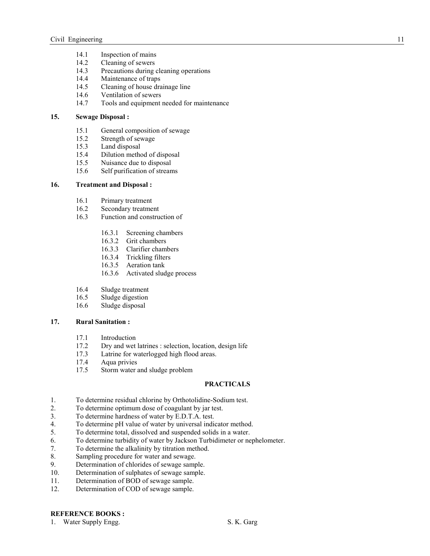- 14.1 Inspection of mains<br>14.2 Cleaning of sewers
- Cleaning of sewers
- 14.3 Precautions during cleaning operations
- 14.4 Maintenance of traps<br>14.5 Cleaning of house dra
- Cleaning of house drainage line
- 14.6 Ventilation of sewers
- 14.7 Tools and equipment needed for maintenance

#### **15. Sewage Disposal :**

- 15.1 General composition of sewage
- 15.2 Strength of sewage
- 15.3 Land disposal
- 15.4 Dilution method of disposal<br>15.5 Nuisance due to disposal
- Nuisance due to disposal
- 15.6 Self purification of streams

## **16. Treatment and Disposal :**

- 16.1 Primary treatment<br>16.2 Secondary treatment
- Secondary treatment
- 16.3 Function and construction of
	- 16.3.1 Screening chambers
	- 16.3.2 Grit chambers
	- 16.3.3 Clarifier chambers
	- 16.3.4 Trickling filters
	- 16.3.5 Aeration tank
	- 16.3.6 Activated sludge process
- 16.4 Sludge treatment<br>16.5 Sludge digestion
- Sludge digestion
- 16.6 Sludge disposal

#### **17. Rural Sanitation :**

- 17.1 Introduction<br>17.2 Drv and wet
- Dry and wet latrines : selection, location, design life
- 17.3 Latrine for waterlogged high flood areas.
- 17.4 Aqua privies
- 17.5 Storm water and sludge problem

#### **PRACTICALS**

- 1. To determine residual chlorine by Orthotolidine-Sodium test.
- 2. To determine optimum dose of coagulant by jar test.
- 3. To determine hardness of water by E.D.T.A. test.
- 4. To determine pH value of water by universal indicator method.
- 5. To determine total, dissolved and suspended solids in a water.
- 6. To determine turbidity of water by Jackson Turbidimeter or nephelometer.
- 7. To determine the alkalinity by titration method.
- 8. Sampling procedure for water and sewage.
- 9. Determination of chlorides of sewage sample.
- 10. Determination of sulphates of sewage sample.
- 11. Determination of BOD of sewage sample.
- 12. Determination of COD of sewage sample.

## **REFERENCE BOOKS:**

#### 1. Water Supply Engg. S. K. Garg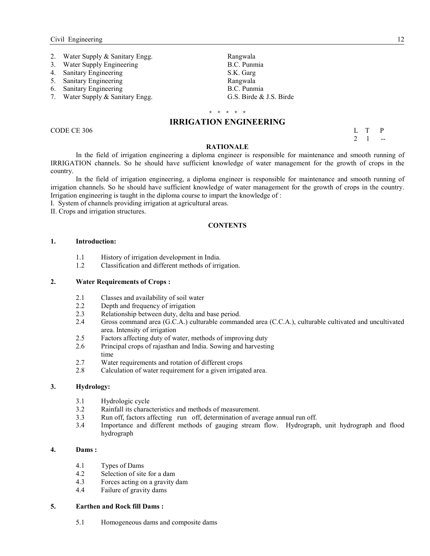- 2. Water Supply & Sanitary Engg. Rangwala
- 3. Water Supply Engineering B.C. Punmia
- 4. Sanitary Engineering S.K. Garg
- 
- 
- 7. Water Supply  $&$  Sanitary Engg.

5. Sanitary Engineering Rangwala<br>
6. Sanitary Engineering B.C. Punmia 6. Sanitary Engineering B.C. Punmia<br>
7. Water Supply & Sanitary Engg. 6. G.S. Birde & J.S. Birde

## \* \* \* \* \* **IRRIGATION ENGINEERING**

CODE CE 306 L T P  $2 \quad 1 \quad -$ 

#### **RATIOALE**

 In the field of irrigation engineering a diploma engineer is responsible for maintenance and smooth running of IRRIGATION channels. So he should have sufficient knowledge of water management for the growth of crops in the country.

In the field of irrigation engineering, a diploma engineer is responsible for maintenance and smooth running of irrigation channels. So he should have sufficient knowledge of water management for the growth of crops in the country. Irrigation engineering is taught in the diploma course to impart the knowledge of :

I. System of channels providing irrigation at agricultural areas.

II. Crops and irrigation structures.

#### **CONTENTS**

#### **1. Introduction:**

- 1.1 History of irrigation development in India.
- 1.2 Classification and different methods of irrigation.

## **2. Water Requirements of Crops :**

- 2.1 Classes and availability of soil water<br>2.2 Depth and frequency of irrigation
- Depth and frequency of irrigation
- 2.3 Relationship between duty, delta and base period.
- 2.4 Gross command area (G.C.A.) culturable commanded area (C.C.A.), culturable cultivated and uncultivated area. Intensity of irrigation
- 2.5 Factors affecting duty of water, methods of improving duty
- 2.6 Principal crops of rajasthan and India. Sowing and harvesting time
- 2.7 Water requirements and rotation of different crops
- 2.8 Calculation of water requirement for a given irrigated area.

#### **3. Hydrology:**

- 3.1 Hydrologic cycle
- 3.2 Rainfall its characteristics and methods of measurement.
- 3.3 Run off, factors affecting run off, determination of average annual run off.
- Importance and different methods of gauging stream flow. Hydrograph, unit hydrograph and flood hydrograph

#### **4. Dams :**

- 4.1 Types of Dams<br>4.2 Selection of site
- Selection of site for a dam
- 4.3 Forces acting on a gravity dam
- 4.4 Failure of gravity dams

## **5. Earthen and Rock fill Dams :**

5.1 Homogeneous dams and composite dams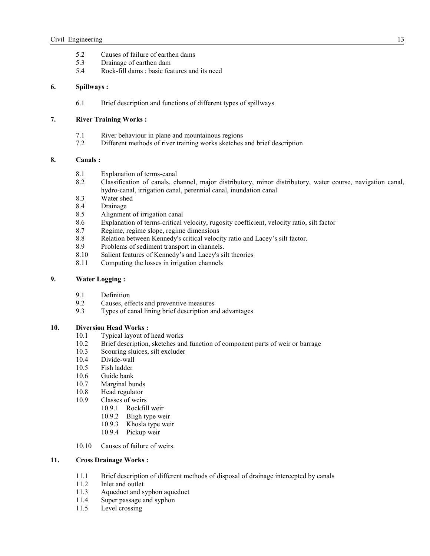- 5.2 Causes of failure of earthen dams<br>5.3 Drainage of earthen dam
- 5.3 Drainage of earthen dam
- 5.4 Rock-fill dams : basic features and its need

### **6. Spillways :**

6.1 Brief description and functions of different types of spillways

### **7. River Training Works :**

- 7.1 River behaviour in plane and mountainous regions
- 7.2 Different methods of river training works sketches and brief description

### **8. Canals :**

- 8.1 Explanation of terms-canal<br>8.2 Classification of canals. cl
- 8.2 Classification of canals, channel, major distributory, minor distributory, water course, navigation canal, hydro-canal, irrigation canal, perennial canal, inundation canal
- 8.3 Water shed<br>8.4 Drainage
- **Drainage**
- 8.5 Alignment of irrigation canal
- 8.6 Explanation of terms-critical velocity, rugosity coefficient, velocity ratio, silt factor
- 8.7 Regime, regime slope, regime dimensions
- 8.8 Relation between Kennedy's critical velocity ratio and Lacey's silt factor.
- 8.9 Problems of sediment transport in channels.<br>8.10 Salient features of Kennedy's and Lacey's si
- Salient features of Kennedy's and Lacey's silt theories
- 8.11 Computing the losses in irrigation channels

## **9. Water Logging :**

- 9.1 Definition<br>9.2 Causes ef
- Causes, effects and preventive measures
- 9.3 Types of canal lining brief description and advantages

## **10. Diversion Head Works :**

- 10.1 Typical layout of head works
- 10.2 Brief description, sketches and function of component parts of weir or barrage Scouring sluices, silt excluder
- Scouring sluices, silt excluder
- 10.4 Divide-wall
- 10.5 Fish ladder
- 10.6 Guide bank
- 10.7 Marginal bunds
- 10.8 Head regulator
- 10.9 Classes of weirs
	- 10.9.1 Rockfill weir
	- 10.9.2 Bligh type weir
	- 10.9.3 Khosla type weir
	- 10.9.4 Pickup weir
- 10.10 Causes of failure of weirs.

## **11. Cross Drainage Works :**

- 11.1 Brief description of different methods of disposal of drainage intercepted by canals
- 11.2 Inlet and outlet
- 11.3 Aqueduct and syphon aqueduct<br>11.4 Super passage and syphon
- Super passage and syphon
- 11.5 Level crossing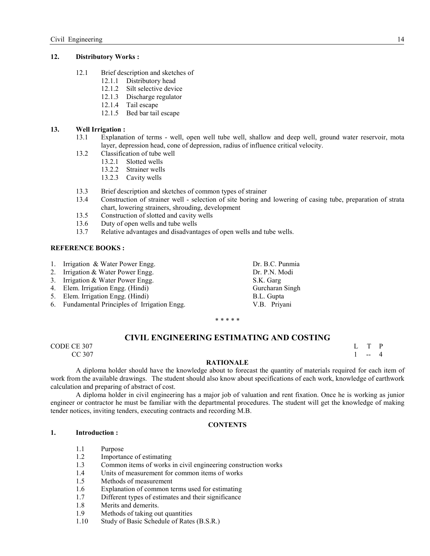#### **12. Distributory Works :**

- 12.1 Brief description and sketches of
	- 12.1.1 Distributory head
	- 12.1.2 Silt selective device
	- 12.1.3 Discharge regulator
	- 12.1.4 Tail escape
	- 12.1.5 Bed bar tail escape

## **13. Well Irrigation :**

- 13.1 Explanation of terms well, open well tube well, shallow and deep well, ground water reservoir, mota layer, depression head, cone of depression, radius of influence critical velocity.
- 13.2 Classification of tube well
	- 13.2.1 Slotted wells
	- 13.2.2 Strainer wells
	- 13.2.3 Cavity wells
- 13.3 Brief description and sketches of common types of strainer
- 13.4 Construction of strainer well selection of site boring and lowering of casing tube, preparation of strata chart, lowering strainers, shrouding, development
- 13.5 Construction of slotted and cavity wells
- 13.6 Duty of open wells and tube wells
- 13.7 Relative advantages and disadvantages of open wells and tube wells.

#### **REFERENCE BOOKS:**

- 1. Irrigation & Water Power Engg. Dr. B.C. Punmia
- 2. Irrigation & Water Power Engg. Dr. P.N. Modi
- 3. Irrigation & Water Power Engg. S.K. Garg
- 4. Elem. Irrigation Engg. (Hindi) Gurcharan Singh
- 5. Elem. Irrigation Engg. (Hindi) B.L. Gupta
- 6. Fundamental Principles of Irrigation Engg. V.B. Priyani

\* \* \* \* \*

## **CIVIL ENGINEERING ESTIMATING AND COSTING**

CODE CE 307 L T P  $CC 307$  1 -- 4

## **RATIONALE**

 A diploma holder should have the knowledge about to forecast the quantity of materials required for each item of work from the available drawings. The student should also know about specifications of each work, knowledge of earthwork calculation and preparing of abstract of cost.

 A diploma holder in civil engineering has a major job of valuation and rent fixation. Once he is working as junior engineer or contractor he must be familiar with the departmental procedures. The student will get the knowledge of making tender notices, inviting tenders, executing contracts and recording M.B.

## **CONTENTS**

## **1. Introduction :**

- 1.1 Purpose
- 1.2 Importance of estimating
- 1.3 Common items of works in civil engineering construction works
- 1.4 Units of measurement for common items of works
- 1.5 Methods of measurement
- 1.6 Explanation of common terms used for estimating
- 1.7 Different types of estimates and their significance
- 1.8 Merits and demerits.
- 1.9 Methods of taking out quantities
- 1.10 Study of Basic Schedule of Rates (B.S.R.)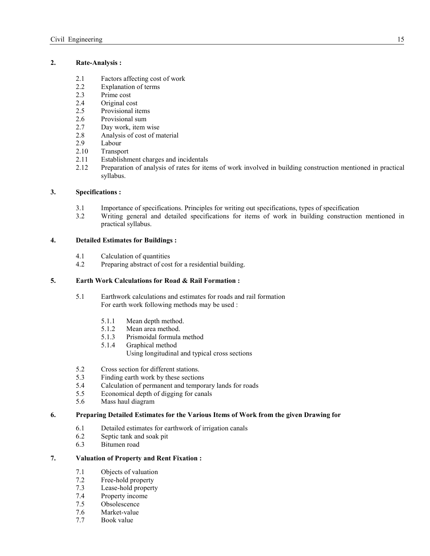#### **2. Rate-Analysis :**

- 2.1 Factors affecting cost of work<br>2.2 Explanation of terms
- Explanation of terms
- 2.3 Prime cost
- 2.4 Original cost
- 2.5 Provisional items
- 2.6 Provisional sum
- 2.7 Day work, item wise<br>2.8 Analysis of cost of m
- Analysis of cost of material
- 2.9 Labour
- 2.10 Transport
- 2.11 Establishment charges and incidentals
- 2.12 Preparation of analysis of rates for items of work involved in building construction mentioned in practical syllabus.

## **3. Specifications :**

- 3.1 Importance of specifications. Principles for writing out specifications, types of specification
- 3.2 Writing general and detailed specifications for items of work in building construction mentioned in practical syllabus.

## **4. Detailed Estimates for Buildings :**

- 4.1 Calculation of quantities
- 4.2 Preparing abstract of cost for a residential building.

## **5. Earth Work Calculations for Road & Rail Formation :**

- 5.1 Earthwork calculations and estimates for roads and rail formation For earth work following methods may be used :
	- 5.1.1 Mean depth method.<br>5.1.2 Mean area method.
	- Mean area method.
	- 5.1.3 Prismoidal formula method
	- 5.1.4 Graphical method Using longitudinal and typical cross sections
- 
- 5.2 Cross section for different stations.<br>5.3 Finding earth work by these section Finding earth work by these sections
- 5.4 Calculation of permanent and temporary lands for roads
- 5.5 Economical depth of digging for canals
- 5.6 Mass haul diagram

## **6. Preparing Detailed Estimates for the Various Items of Work from the given Drawing for**

- 6.1 Detailed estimates for earthwork of irrigation canals<br>6.2 Septic tank and soak pit
- 6.2 Septic tank and soak pit<br>6.3 Bitumen road
- Bitumen road

## **7. Valuation of Property and Rent Fixation :**

- 7.1 Objects of valuation
- 7.2 Free-hold property<br>7.3 Lease-hold property
- Lease-hold property
- 7.4 Property income
- 7.5 Obsolescence
- 7.6 Market-value
- 7.7 Book value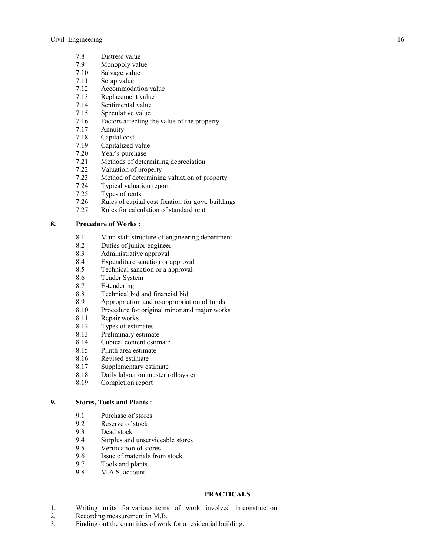- 7.8 Distress value
- 7.9 Monopoly value
- 7.10 Salvage value
- 7.11 Scrap value<br>7.12 Accommoda
- 7.12 Accommodation value<br>7.13 Replacement value
- Replacement value
- 7.14 Sentimental value
- 7.15 Speculative value
- 7.16 Factors affecting the value of the property
- 7.17 Annuity
- 7.18 Capital cost<br>7.19 Capitalized
- Capitalized value
- 7.20 Year's purchase
- 7.21 Methods of determining depreciation<br>7.22 Valuation of property
- 7.22 Valuation of property<br>7.23 Method of determining
- 7.23 Method of determining valuation of property<br>7.24 Typical valuation report
- 7.24 Typical valuation report<br>7.25 Types of rents
- Types of rents
- 7.26 Rules of capital cost fixation for govt. buildings
- 7.27 Rules for calculation of standard rent

## **8. Procedure of Works :**

- 8.1 Main staff structure of engineering department
- 8.2 Duties of junior engineer
- 8.3 Administrative approval
- 8.4 Expenditure sanction or approval
- 8.5 Technical sanction or a approval
- 8.6 Tender System<br>8.7 E-tendering
- E-tendering
- 8.8 Technical bid and financial bid
- 8.9 Appropriation and re-appropriation of funds<br>8.10 Procedure for original minor and maior work
- Procedure for original minor and major works
- 8.11 Repair works
- 8.12 Types of estimates<br>8.13 Preliminary estimates
- Preliminary estimate
- 8.14 Cubical content estimate
- 8.15 Plinth area estimate<br>8.16 Revised estimate
- Revised estimate
- 8.17 Supplementary estimate
- 8.18 Daily labour on muster roll system<br>8.19 Completion report
- Completion report

## **9. Stores, Tools and Plants :**

- 9.1 Purchase of stores<br>9.2 Reserve of stock
- Reserve of stock
- 9.3 Dead stock
- 9.4 Surplus and unserviceable stores<br>9.5 Verification of stores
- Verification of stores
- 9.6 Issue of materials from stock
- 9.7 Tools and plants<br>9.8 M.A.S. account
- M.A.S. account

## **PRACTICALS**

- 1. Writing units for various items of work involved in construction
- 2. Recording measurement in M.B.
- 3. Finding out the quantities of work for a residential building.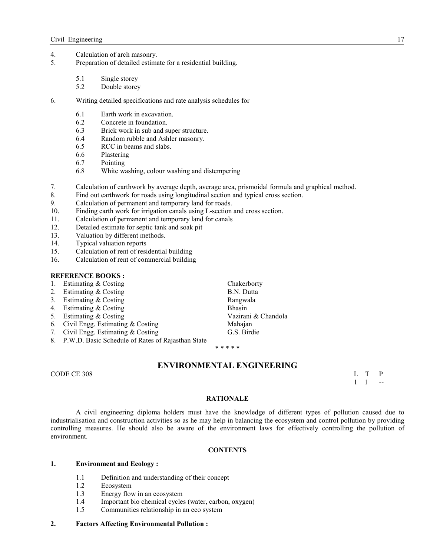- 4. Calculation of arch masonry.<br>5. Preparation of detailed estimation
- Preparation of detailed estimate for a residential building.
	- 5.1 Single storey<br>5.2 Double storey
	- Double storey
- 6. Writing detailed specifications and rate analysis schedules for
	- 6.1 Earth work in excavation.
	- 6.2 Concrete in foundation.
	- 6.3 Brick work in sub and super structure.
	- 6.4 Random rubble and Ashler masonry.
	- 6.5 RCC in beams and slabs.
	- 6.6 Plastering
	- 6.7 Pointing
	- 6.8 White washing, colour washing and distempering
- 7. Calculation of earthwork by average depth, average area, prismoidal formula and graphical method.
- 8. Find out earthwork for roads using longitudinal section and typical cross section.
- 9. Calculation of permanent and temporary land for roads.
- 10. Finding earth work for irrigation canals using L-section and cross section.
- 11. Calculation of permanent and temporary land for canals
- 12. Detailed estimate for septic tank and soak pit
- 13. Valuation by different methods.
- 14. Typical valuation reports
- 15. Calculation of rent of residential building
- 16. Calculation of rent of commercial building

## **REFERENCE BOOKS:**

- 1. Estimating & Costing Chakerborty
- 2. Estimating & Costing B.N. Dutta
- 3. Estimating & Costing **Rangwala**
- 4. Estimating & Costing Bhasin
- 5. Estimating & Costing Vazirani & Chandola
- 
- 6. Civil Engg. Estimating & Costing and Mahajan Mahajan Mahajan S.S. Birdie 7. Civil Engg. Estimating  $& Costing$
- 8. P.W.D. Basic Schedule of Rates of Rajasthan State

\* \* \* \* \*

## **ENVIRONMENTAL ENGINEERING**

CODE CE 308 L T P

 $1 \quad 1 \quad -1$ 

#### **RATIONALE**

 A civil engineering diploma holders must have the knowledge of different types of pollution caused due to industrialisation and construction activities so as he may help in balancing the ecosystem and control pollution by providing controlling measures. He should also be aware of the environment laws for effectively controlling the pollution of environment.

#### **CONTENTS**

## **1. Environment and Ecology :**

- 1.1 Definition and understanding of their concept
- 1.2 Ecosystem
- 1.3 Energy flow in an ecosystem<br>1.4 Important bio chemical cycles
- Important bio chemical cycles (water, carbon, oxygen)
- 1.5 Communities relationship in an eco system

#### **2. Factors Affecting Environmental Pollution :**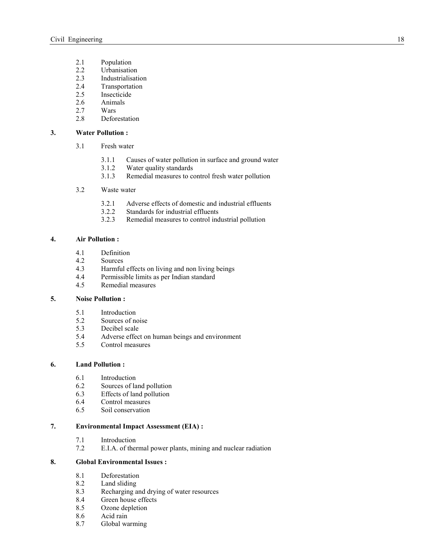- 2.1 Population<br>2.2 Urbanisatic
- 2.2 Urbanisation<br>2.3 Industrialisati
- **Industrialisation**
- 2.4 Transportation
- 2.5 Insecticide
- 2.6 Animals
- 2.7 Wars
- 2.8 Deforestation

## **3. Water Pollution :**

- 3.1 Fresh water
	- 3.1.1 Causes of water pollution in surface and ground water
	- 3.1.2 Water quality standards
	- 3.1.3 Remedial measures to control fresh water pollution

## 3.2 Waste water

- 3.2.1 Adverse effects of domestic and industrial effluents
- 3.2.2 Standards for industrial effluents
- 3.2.3 Remedial measures to control industrial pollution

### **4. Air Pollution :**

- 4.1 Definition
- 4.2 Sources
- 4.3 Harmful effects on living and non living beings<br>4.4 Permissible limits as per Indian standard
- Permissible limits as per Indian standard
- 4.5 Remedial measures

## **5. oise Pollution :**

- 5.1 Introduction<br>5.2 Sources of no
- 5.2 Sources of noise<br>5.3 Decibel scale
- 5.3 Decibel scale<br>5.4 Adverse effec
- Adverse effect on human beings and environment
- 5.5 Control measures

## **6. Land Pollution :**

- 6.1 Introduction<br>6.2 Sources of la
- Sources of land pollution
- 6.3 Effects of land pollution
- 6.4 Control measures<br>6.5 Soil conservation
- Soil conservation

## **7. Environmental Impact Assessment (EIA) :**

- 7.1 Introduction<br>7.2 E.I.A. of the
- E.I.A. of thermal power plants, mining and nuclear radiation

## **8. Global Environmental Issues :**

- 8.1 Deforestation
- 8.2 Land sliding<br>8.3 Recharging a
- Recharging and drying of water resources
- 8.4 Green house effects
- 8.5 Ozone depletion
- 8.6 Acid rain
- 8.7 Global warming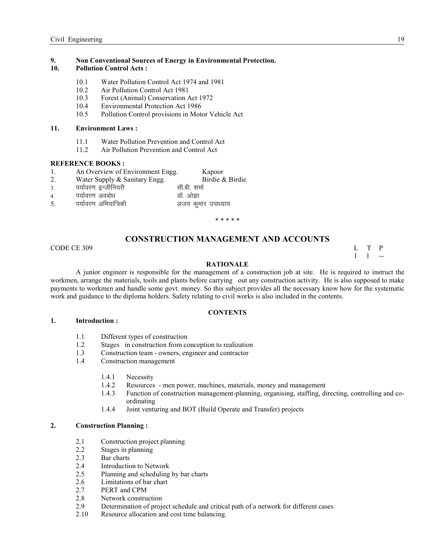## **9.**  Non Conventional Sources of Energy in Environmental Protection.

## **10. Pollution Control Acts :**

- 10.1 Water Pollution Control Act 1974 and 1981
- 10.2 Air Pollution Control Act 1981
- 10.3 Forest (Animal) Conservation Act 1972
- 10.4 Environmental Protection Act 1986<br>10.5 Pollution Control provisions in Mote
- 10.5 Pollution Control provisions in Motor Vehicle Act

#### **11. Environment Laws :**

- 11.1 Water Pollution Prevention and Control Act
- 11.2 Air Pollution Prevention and Control Act

#### **REFERENCE BOOKS:**

- 1. An Overview of Environment Engg. Kapoor
- 2. Water Supply & Sanitary Engg. Birdie & Birdie
- 3. पर्यावरण इन्जीनियरी
- 4. i;k Zoj.k vocks/k MkW- vk s>k
- 5. पर्यावरण अभियांत्रिकी व्याला के अजय कुमार उपाध्याय

\* \* \* \* \*

## **CONSTRUCTION MANAGEMENT AND ACCOUNTS**

CODE CE 309 L T P

 $1 \quad 1 \quad -1$ 

#### **RATIONALE**

A junior engineer is responsible for the management of a construction job at site. He is required to instruct the workmen, arrange the materials, tools and plants before carrying out any construction activity. He is also supposed to make payments to workmen and handle some govt. money. So this subject provides all the necessary know how for the systematic work and guidance to the diploma holders. Safety relating to civil works is also included in the contents.

#### **CONTENTS**

#### **1. Introduction :**

- 1.1 Different types of construction<br>1.2 Stages in construction from co
- Stages in construction from conception to realization
- 1.3 Construction team owners, engineer and contractor
- 1.4 Construction management
	- 1.4.1 Necessity
	- 1.4.2 Resources men power, machines, materials, money and management 1.4.3 Function of construction management-planning, organising, staffing, di
	- 1.4.3 Function of construction management-planning, organising, staffing, directing, controlling and coordinating
	- 1.4.4 Joint venturing and BOT (Build Operate and Transfer) projects

#### **2. Construction Planning :**

- 2.1 Construction project planning
- 2.2 Stages in planning
- 2.3 Bar charts
- 2.4 Introduction to Network
- 2.5 Planning and scheduling by bar charts
- 2.6 Limitations of bar chart<br>2.7 PERT and CPM
- PERT and CPM
- 2.8 Network construction
- 2.9 Determination of project schedule and critical path of a network for different cases 2.10 Resource allocation and cost time balancing.
- Resource allocation and cost time balancing.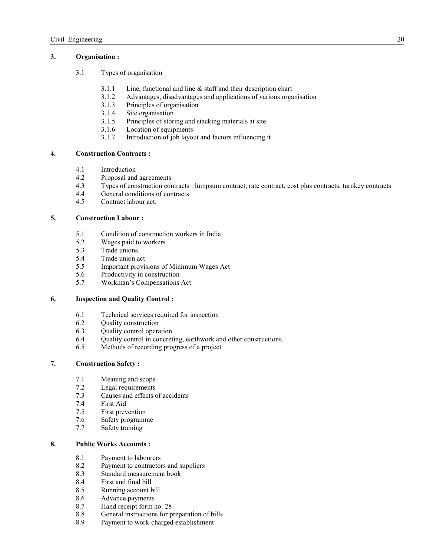## **3. Organisation :**

- 3.1 Types of organisation
	- 3.1.1 Line, functional and line  $\&$  staff and their description chart  $3.1.2$  Advantages disadvantages and applications of various organizations.
	- 3.1.2 Advantages, disadvantages and applications of various organisation
	- 3.1.3 Principles of organisation
	- 3.1.4 Site organisation
	- 3.1.5 Principles of storing and stacking materials at site
	- 3.1.6 Location of equipments
	- 3.1.7 Introduction of job layout and factors influencing it

## **4. Construction Contracts :**

- 4.1 Introduction
- 4.2 Proposal and agreements<br>4.3 Types of construction con-
- 4.3 Types of construction contracts : lumpsum contract, rate contract, cost plus contracts, turnkey contracts
- General conditions of contracts
- 4.5 Contract labour act.

## **5. Construction Labour :**

- 5.1 Condition of construction workers in India<br>5.2 Wages paid to workers
- Wages paid to workers
- 5.3 Trade unions
- 5.4 Trade union act
- 5.5 Important provisions of Minimum Wages Act
- 5.6 Productivity in construction
- 5.7 Workman's Compensations Act

## **6. Inspection and Quality Control :**

- 6.1 Technical services required for inspection
- 6.2 Quality construction
- 6.3 Quality control operation
- 6.4 Quality control in concreting, earthwork and other constructions.
- 6.5 Methods of recording progress of a project

## **7. Construction Safety :**

- 7.1 Meaning and scope<br>7.2 Legal requirements
- Legal requirements
- 7.3 Causes and effects of accidents
- 7.4 First Aid
- 7.5 First prevention
- 7.6 Safety programme
- 7.7 Safety training

## **8. Public Works Accounts :**

- 8.1 Payment to labourers
- 8.2 Payment to contractors and suppliers<br>8.3 Standard measurement book
- Standard measurement book
- 8.4 First and final bill
- 8.5 Running account bill
- 8.6 Advance payments
- 8.7 Hand receipt form no. 28<br>8.8 General instructions for p
- 8.8 General instructions for preparation of bills<br>8.9 Payment to work-charged establishment
- Payment to work-charged establishment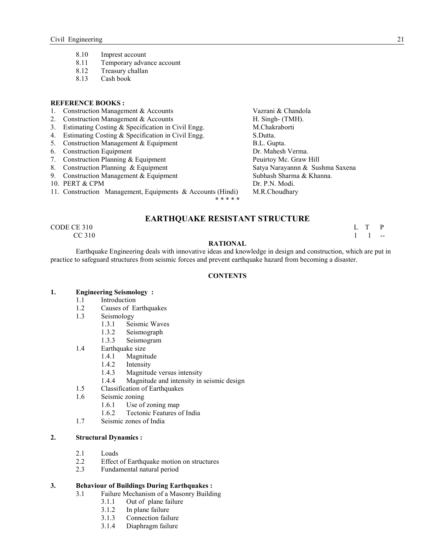- 8.10 Imprest account<br>8.11 Temporary adva
- Temporary advance account
- 8.12 Treasury challan
- 8.13 Cash book

## **REFERENCE BOOKS:**

- 1. Construction Management & Accounts Vazrani & Chandola
- 
- 2. Construction Management & Accounts Theorem H. Singh- (TMH).<br>
3. Estimating Costing & Specification in Civil Engg. M. Chakraborti 3. Estimating Costing  $&$  Specification in Civil Engg.
- 4. Estimating Costing & Specification in Civil Engg. S.Dutta.
- 5. Construction Management & Equipment **B.L. Gupta.**
- 6. Construction Equipment Dr. Mahesh Verma.
- 7. Construction Planning & Equipment Peuirtoy Mc. Graw Hill
- 8. Construction Planning & Equipment Satya Narayannn & Sushma Saxena
- 9. Construction Management & Equipment Subhash Sharma & Khanna.
- 10. PERT & CPM Dr. P.N. Modi.
- 11. Construction Management, Equipments & Accounts (Hindi) M.R.Choudhary

\* \* \* \* \*

## **EARTHQUAKE RESISTANT STRUCTURE**

 $\begin{array}{ccc}\n\text{CODE CE } 310 \\
\text{CC } 310\n\end{array}$  L T P  $CC 310$  1 1 --

## **RATIONAL**

 Earthquake Engineering deals with innovative ideas and knowledge in design and construction, which are put in practice to safeguard structures from seismic forces and prevent earthquake hazard from becoming a disaster.

### **CONTENTS**

## **1. Engineering Seismology :**

- 1.1 Introduction
- 1.2 Causes of Earthquakes
- 1.3 Seismology
	-
	- 1.3.1 Seismic Waves<br>1.3.2 Seismograph Seismograph
	- 1.3.3 Seismogram
- 1.4 Earthquake size<br>1.4.1 Magnitude
	- Magnitude
	- 1.4.2 Intensity
	- 1.4.3 Magnitude versus intensity
	- 1.4.4 Magnitude and intensity in seismic design
- 1.5 Classification of Earthquakes
- 1.6 Seismic zoning<br>1.6.1 Use of
	- Use of zoning map
	- 1.6.2 Tectonic Features of India
- 1.7 Seismic zones of India

#### **2. Structural Dynamics :**

- 2.1 Loads
- 2.2 Effect of Earthquake motion on structures
- 2.3 Fundamental natural period

# **3. Behaviour of Buildings During Earthquakes :** 3.1 Failure Mechanism of a Masonry Buildi

- Failure Mechanism of a Masonry Building
	- 3.1.1 Out of plane failure
	- 3.1.2 In plane failure
	- 3.1.3 Connection failure
	- 3.1.4 Diaphragm failure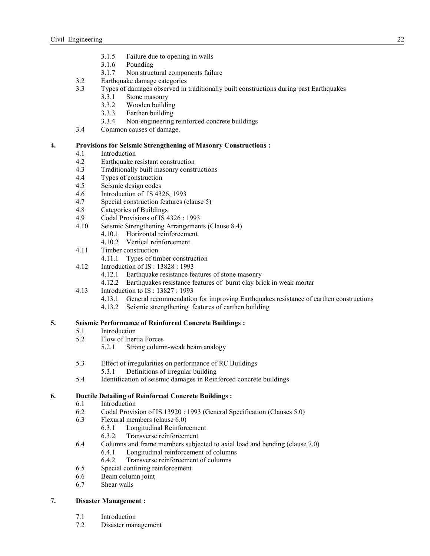- 3.1.5 Failure due to opening in walls
- 3.1.6 Pounding
- 3.1.7 Non structural components failure
- 3.2 Earthquake damage categories<br>3.3 Types of damages observed in
	- 3.3 Types of damages observed in traditionally built constructions during past Earthquakes
		- 3.3.1 Stone masonry
		- 3.3.2 Wooden building
		- 3.3.3 Earthen building
		- 3.3.4 Non-engineering reinforced concrete buildings
- 3.4 Common causes of damage.

## **4. Provisions for Seismic Strengthening of Masonry Constructions :**

- 4.1 Introduction
- 4.2 Earthquake resistant construction<br>4.3 Traditionally built masonry const
- Traditionally built masonry constructions
- 4.4 Types of construction<br>4.5 Seismic design codes
- Seismic design codes
- 4.6 Introduction of IS 4326, 1993
- 4.7 Special construction features (clause 5)
- 4.8 Categories of Buildings
- 4.9 Codal Provisions of IS 4326 : 1993
- 4.10 Seismic Strengthening Arrangements (Clause 8.4)
	- 4.10.1 Horizontal reinforcement
	- 4.10.2 Vertical reinforcement
- 4.11 Timber construction
	- 4.11.1 Types of timber construction
- 4.12 Introduction of IS : 13828 : 1993
	- 4.12.1 Earthquake resistance features of stone masonry
	- 4.12.2 Earthquakes resistance features of burnt clay brick in weak mortar
- 4.13 Introduction to IS : 13827 : 1993
	- 4.13.1 General recommendation for improving Earthquakes resistance of earthen constructions
	- 4.13.2 Seismic strengthening features of earthen building

## **5. Seismic Performance of Reinforced Concrete Buildings :**

- 5.1 Introduction
- 5.2 Flow of Inertia Forces
	- 5.2.1 Strong column-weak beam analogy
- 5.3 Effect of irregularities on performance of RC Buildings
	- 5.3.1 Definitions of irregular building
- 5.4 Identification of seismic damages in Reinforced concrete buildings

## **6. Ductile Detailing of Reinforced Concrete Buildings :**

- 6.1 Introduction
- 6.2 Codal Provision of IS 13920 : 1993 (General Specification (Clauses 5.0)
- 6.3 Flexural members (clause 6.0)
	- 6.3.1 Longitudinal Reinforcement<br>6.3.2 Transverse reinforcement
	- Transverse reinforcement
- 6.4 Columns and frame members subjected to axial load and bending (clause 7.0)
	- 6.4.1 Longitudinal reinforcement of columns
	- 6.4.2 Transverse reinforcement of columns
- 6.5 Special confining reinforcement
- 6.6 Beam column joint
- 6.7 Shear walls

## **7. Disaster Management :**

- 7.1 Introduction
- 7.2 Disaster management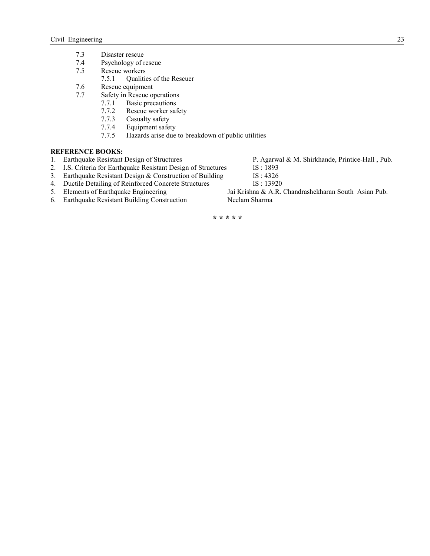- 7.3 Disaster rescue<br>7.4 Psychology of r
- Psychology of rescue
- 7.5 Rescue workers
- 7.5.1 Qualities of the Rescuer 7.6 Rescue equipment
- Rescue equipment
- 7.7 Safety in Rescue operations
	- 7.7.1 Basic precautions<br>7.7.2 Rescue worker saf
	- Rescue worker safety
	- 7.7.3 Casualty safety
	- 7.7.4 Equipment safety<br>7.7.5 Hazards arise due
	- Hazards arise due to breakdown of public utilities

- **REFERENCE BOOKS:**<br>1. Earthquake Resistant Design of Structures
- 2. I.S. Criteria for Earthquake Resistant Design of Structures IS: 1893<br>3. Earthquake Resistant Design & Construction of Building IS: 4326
- 3. Earthquake Resistant Design  $&$  Construction of Building
- 4. Ductile Detailing of Reinforced Concrete Structures IS: 13920<br>5. Elements of Earthquake Engineering Jai Krishna & A.R.
- 
- 6. Earthquake Resistant Building Construction Neelam Sharma

P. Agarwal & M. Shirkhande, Printice-Hall , Pub. IS: 1893

- 
- 
- 
- Jai Krishna & A.R. Chandrashekharan South Asian Pub.

**\* \* \* \* \***